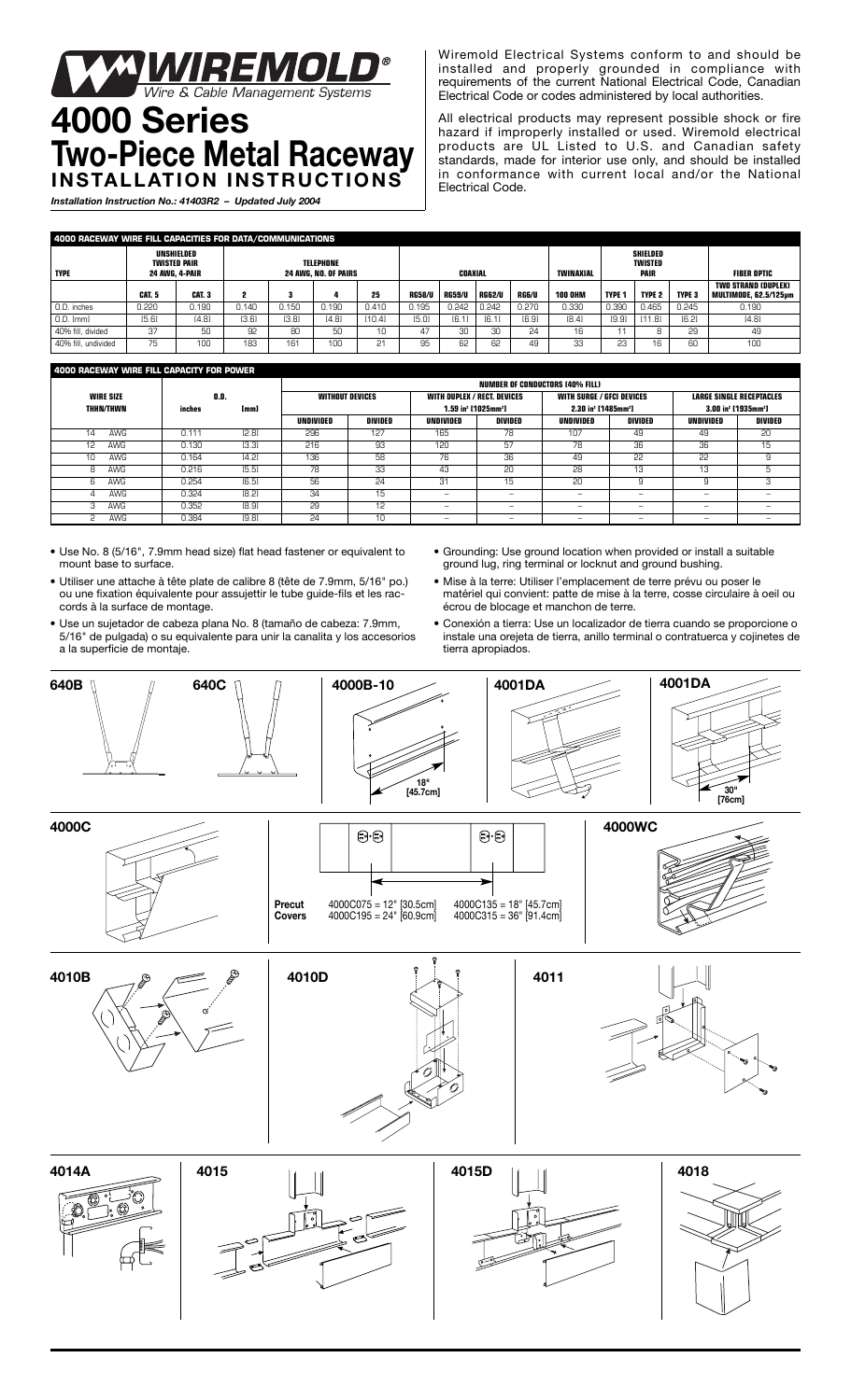## **WAREMOLD®**<br>Wire & Cable Management Systems **4000 Series**

## **Two-Piece Metal Raceway INSTALLATION INSTRUCTIONS**

*Installation Instruction No.: 41403R2 – Updated July 2004*

Wiremold Electrical Systems conform to and should be installed and properly grounded in compliance with requirements of the current National Electrical Code, Canadian Electrical Code or codes administered by local authorities.

All electrical products may represent possible shock or fire hazard if improperly installed or used. Wiremold electrical products are UL Listed to U.S. and Canadian safety standards, made for interior use only, and should be installed in conformance with current local and/or the National Electrical Code.

| 4000 RACEWAY WIRE FILL CAPACITIES FOR DATA/COMMUNICATIONS |                       |                            |                                                 |       |       |        |               |               |               |       |                  |                                           |               |               |                                                            |
|-----------------------------------------------------------|-----------------------|----------------------------|-------------------------------------------------|-------|-------|--------|---------------|---------------|---------------|-------|------------------|-------------------------------------------|---------------|---------------|------------------------------------------------------------|
| <b>TYPE</b>                                               | <b>24 AWG. 4-PAIR</b> | UNSHIELDED<br>TWISTED PAIR | <b>TELEPHONE</b><br><b>24 AWG. NO. OF PAIRS</b> |       |       |        | COAXIAL       |               |               |       | <b>TWINAXIAL</b> | SHIELDED<br><b>TWISTED</b><br><b>PAIR</b> |               |               | <b>FIBER OPTIC</b>                                         |
|                                                           | <b>CAT. 5</b>         | CAT. 3                     |                                                 |       | 4     | 25     | <b>RG58/U</b> | <b>RG59/U</b> | <b>RG62/U</b> | RG6/U | <b>100 OHM</b>   | <b>TYPE 1</b>                             | <b>TYPE 2</b> | <b>TYPE 3</b> | <b>TWO STRAND (DUPLEX)</b><br><b>MULTIMODE, 62.5/125um</b> |
| 0.D. inches                                               | 0.220                 | 0.190                      | 0.140                                           | 0.150 | 0.190 | 0.410  | 0.195         | 0.242         | 0.242         | 0.270 | 0.330            | 0.390                                     | 0.465         | 0.245         | 0.190                                                      |
| 0.D. [mm]                                                 | [5.6]                 | [4.8]                      | [3.6]                                           | [3.8] | [4.8] | [10.4] | [5.0]         | [6.1]         | [6.1]         | [6.9] | [8.4]            | [9.9]                                     | [11.8]        | [6.2]         | [4.8]                                                      |
| 40% fill. divided                                         | 37                    | 50                         | 92                                              | 80    | 50    | 10     | 47            | 30            | 30            | 24    | 16               |                                           |               | 29            | 49                                                         |
| 40% fill, undivided                                       | 75                    | 100                        | 183                                             | 161   | 100   | 21     | 95            | 62            | 62            | 49    | 33               | 23                                        | 16            | 60            | 100                                                        |

## **4000 RACEWAY WIRE FILL CAPACITY FOR POWER**

|                  |        |       | <b>NUMBER OF CONDUCTORS (40% FILL)</b> |                        |                                    |                                             |                                             |         |                                             |                |  |  |
|------------------|--------|-------|----------------------------------------|------------------------|------------------------------------|---------------------------------------------|---------------------------------------------|---------|---------------------------------------------|----------------|--|--|
| <b>WIRE SIZE</b> | O.D.   |       |                                        | <b>WITHOUT DEVICES</b> | <b>WITH DUPLEX / RECT. DEVICES</b> |                                             | <b>WITH SURGE / GFCI DEVICES</b>            |         | <b>LARGE SINGLE RECEPTACLES</b>             |                |  |  |
| <b>THHN/THWN</b> | inches | [mm]  |                                        |                        |                                    | 1.59 in <sup>2</sup> [1025mm <sup>2</sup> ] | 2.30 in <sup>2</sup> [1485mm <sup>2</sup> ] |         | 3.00 in <sup>2</sup> [1935mm <sup>2</sup> ] |                |  |  |
|                  |        |       | UNDIVIDED                              | DIVIDED                | UNDIVIDED                          | DIVIDED                                     | UNDIVIDED                                   | DIVIDED | UNDIVIDED                                   | <b>DIVIDED</b> |  |  |
| AWG<br>14        | 0.11'  | [2.8] | 296                                    | 127                    | 165                                | 78                                          | 107                                         | 49      | 49                                          | 20             |  |  |
| AWG<br>12        | 0.130  | [3.3] | 216                                    | 93                     | 120                                | 57                                          | 78                                          | 36      | 36                                          | 15             |  |  |
| 10<br>AWG        | 0.164  | [4.2] | 136                                    | 58                     | 76                                 | 36                                          | 49                                          | 22      | 22                                          | 9              |  |  |
| AWG              | 0.216  | [5.5] | 78                                     | 33                     | 43                                 | 20                                          | 28                                          | 13      | 13                                          | 5              |  |  |
| AWG<br>h         | 0.254  | [6.5] | 56                                     | 24                     | 31                                 | 15<br>10                                    | 20                                          |         |                                             | З              |  |  |
| AWG              | 0.324  | [8.2] | 34                                     | 15                     | -                                  | -                                           | -                                           | -       | -                                           | -              |  |  |
| AWG              | 0.352  | [8.9] | 29                                     | 12                     | -                                  | -                                           | -                                           | -       | -                                           | -              |  |  |
| AWG              | 0.384  | [9.8] | 24                                     | 10                     | -                                  | -                                           | -                                           | -       | -                                           | -              |  |  |

- Use No. 8 (5/16", 7.9mm head size) flat head fastener or equivalent to mount base to surface.
- Utiliser une attache à tête plate de calibre 8 (tête de 7.9mm, 5/16" po.) ou une fixation équivalente pour assujettir le tube guide-fils et les raccords à la surface de montage.
- Use un sujetador de cabeza plana No. 8 (tamaño de cabeza: 7.9mm, 5/16" de pulgada) o su equivalente para unir la canalita y los accesorios a la superficie de montaje.
- Grounding: Use ground location when provided or install a suitable ground lug, ring terminal or locknut and ground bushing.
- Mise à la terre: Utiliser l'emplacement de terre prévu ou poser le matériel qui convient: patte de mise à la terre, cosse circulaire à oeil ou écrou de blocage et manchon de terre.
- Conexión a tierra: Use un localizador de tierra cuando se proporcione o instale una orejeta de tierra, anillo terminal o contratuerca y cojinetes de tierra apropiados.